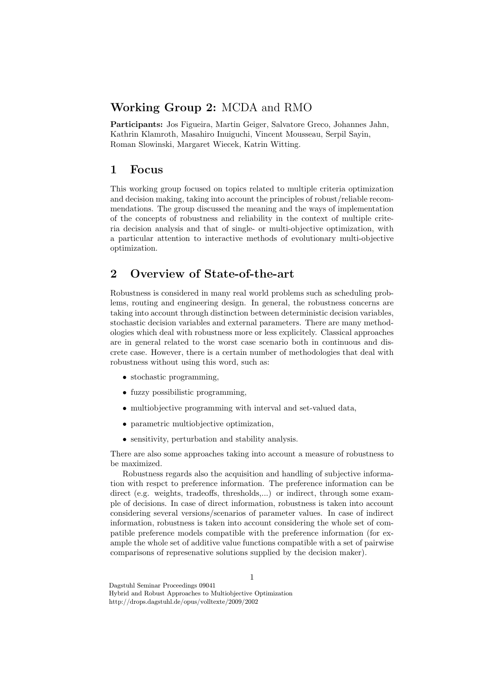### Working Group 2: MCDA and RMO

Participants: Jos Figueira, Martin Geiger, Salvatore Greco, Johannes Jahn, Kathrin Klamroth, Masahiro Inuiguchi, Vincent Mousseau, Serpil Sayin, Roman Slowinski, Margaret Wiecek, Katrin Witting.

#### 1 Focus

This working group focused on topics related to multiple criteria optimization and decision making, taking into account the principles of robust/reliable recommendations. The group discussed the meaning and the ways of implementation of the concepts of robustness and reliability in the context of multiple criteria decision analysis and that of single- or multi-objective optimization, with a particular attention to interactive methods of evolutionary multi-objective optimization.

# 2 Overview of State-of-the-art

Robustness is considered in many real world problems such as scheduling problems, routing and engineering design. In general, the robustness concerns are taking into account through distinction between deterministic decision variables, stochastic decision variables and external parameters. There are many methodologies which deal with robustness more or less explicitely. Classical approaches are in general related to the worst case scenario both in continuous and discrete case. However, there is a certain number of methodologies that deal with robustness without using this word, such as:

- stochastic programming,
- fuzzy possibilistic programming,
- multiobjective programming with interval and set-valued data,
- parametric multiobjective optimization,
- sensitivity, perturbation and stability analysis.

There are also some approaches taking into account a measure of robustness to be maximized.

Robustness regards also the acquisition and handling of subjective information with respct to preference information. The preference information can be direct (e.g. weights, tradeoffs, thresholds,...) or indirect, through some example of decisions. In case of direct information, robustness is taken into account considering several versions/scenarios of parameter values. In case of indirect information, robustness is taken into account considering the whole set of compatible preference models compatible with the preference information (for example the whole set of additive value functions compatible with a set of pairwise comparisons of represenative solutions supplied by the decision maker).

Dagstuhl Seminar Proceedings 09041 Hybrid and Robust Approaches to Multiobjective Optimization http://drops.dagstuhl.de/opus/volltexte/2009/2002